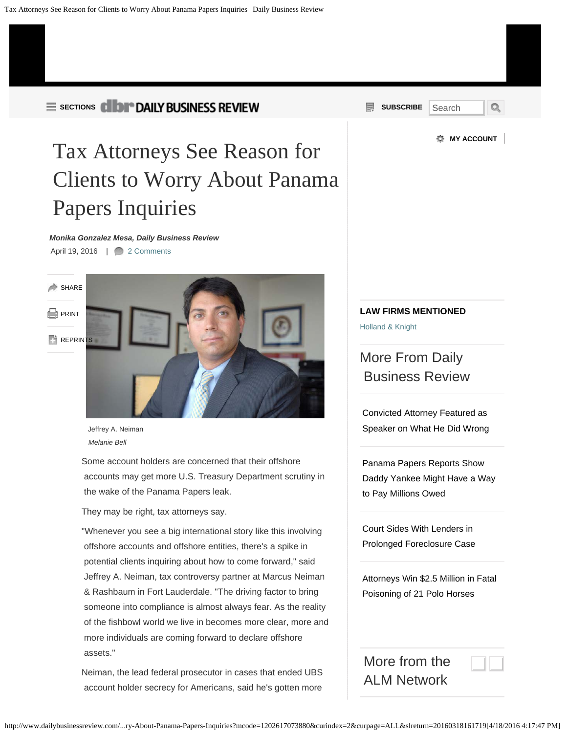<span id="page-0-0"></span>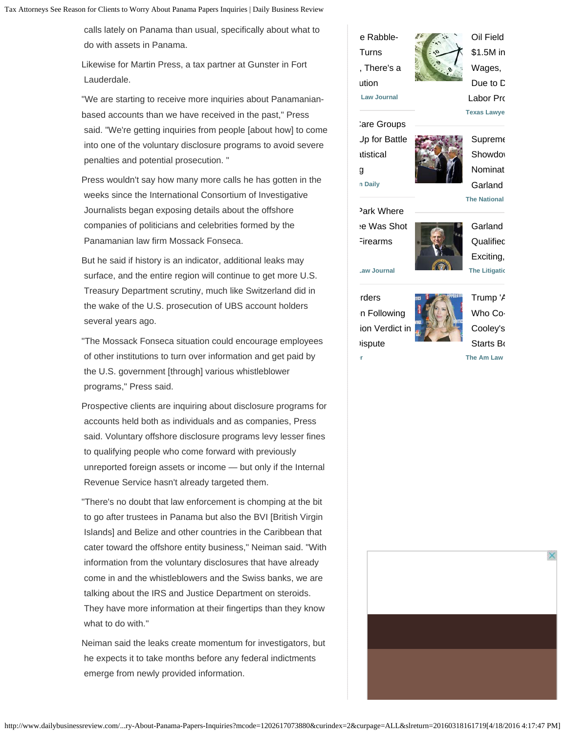calls lately on Panama than usual, specifically about what to do with assets in Panama.

Likewise for Martin Press, a tax partner at Gunster in Fort Lauderdale.

"We are starting to receive more inquiries about Panamanianbased accounts than we have received in the past," Press said. "We're getting inquiries from people [about how] to come into one of the voluntary disclosure programs to avoid severe penalties and potential prosecution. "

Press wouldn't say how many more calls he has gotten in the weeks since the International Consortium of Investigative Journalists began exposing details about the offshore companies of politicians and celebrities formed by the Panamanian law firm Mossack Fonseca.

But he said if history is an indicator, additional leaks may surface, and the entire region will continue to get more U.S. Treasury Department scrutiny, much like Switzerland did in the wake of the U.S. prosecution of UBS account holders several years ago.

"The Mossack Fonseca situation could encourage employees of other institutions to turn over information and get paid by the U.S. government [through] various whistleblower programs," Press said.

Prospective clients are inquiring about disclosure programs for accounts held both as individuals and as companies, Press said. Voluntary offshore disclosure programs levy lesser fines to qualifying people who come forward with previously unreported foreign assets or income — but only if the Internal Revenue Service hasn't already targeted them.

"There's no doubt that law enforcement is chomping at the bit to go after trustees in Panama but also the BVI [British Virgin Islands] and Belize and other countries in the Caribbean that cater toward the offshore entity business," Neiman said. "With information from the voluntary disclosures that have already come in and the whistleblowers and the Swiss banks, we are talking about the IRS and Justice Department on steroids. They have more information at their fingertips than they know what to do with."

Neiman said the leaks create momentum for investigators, but he expects it to take months before any federal indictments emerge from newly provided information.





 $\times$